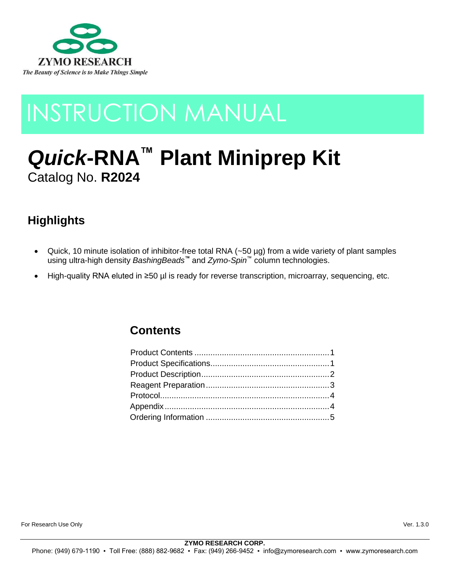

# INSTRUCTION MANUAL

# *Quick***-RNA™ Plant Miniprep Kit** Catalog No. **R2024**

# **Highlights**

- Quick, 10 minute isolation of inhibitor-free total RNA (~50 µg) from a wide variety of plant samples using ultra-high density *BashingBeads™* and *Zymo-Spin*™ column technologies.
- High-quality RNA eluted in ≥50 µl is ready for reverse transcription, microarray, sequencing, etc.

# **Contents**

For Research Use Only Ver. 1.3.0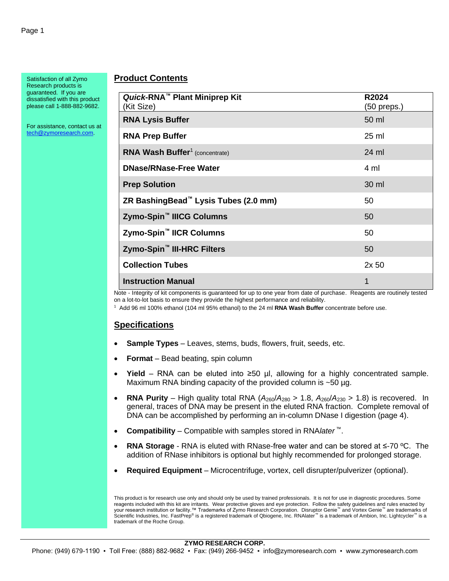Satisfaction of all Zymo Research products is guaranteed. If you are dissatisfied with this product please call 1-888-882-9682.

For assistance, contact us at [tech@zymoresearch.com.](mailto:tech@zymoresearch.com)

### **Product Contents**

| Quick-RNA <sup>™</sup> Plant Miniprep Kit<br>(Kit Size) | R2024<br>(50 preps.) |
|---------------------------------------------------------|----------------------|
| <b>RNA Lysis Buffer</b>                                 | 50 ml                |
| <b>RNA Prep Buffer</b>                                  | 25 ml                |
| <b>RNA Wash Buffer<sup>1</sup></b> (concentrate)        | 24 ml                |
| <b>DNase/RNase-Free Water</b>                           | 4 ml                 |
| <b>Prep Solution</b>                                    | 30 ml                |
| ZR BashingBead <sup>™</sup> Lysis Tubes (2.0 mm)        | 50                   |
| Zymo-Spin <sup>™</sup> IIICG Columns                    | 50                   |
| Zymo-Spin <sup>™</sup> IICR Columns                     | 50                   |
| Zymo-Spin <sup>™</sup> III-HRC Filters                  | 50                   |
| <b>Collection Tubes</b>                                 | 2x <sub>50</sub>     |
| <b>Instruction Manual</b>                               | 1                    |

Note - Integrity of kit components is guaranteed for up to one year from date of purchase. Reagents are routinely tested on a lot-to-lot basis to ensure they provide the highest performance and reliability.

1 Add 96 ml 100% ethanol (104 ml 95% ethanol) to the 24 ml **RNA Wash Buffer** concentrate before use.

# **Specifications**

- **Sample Types**  Leaves, stems, buds, flowers, fruit, seeds, etc.
- **Format**  Bead beating, spin column
- **Yield** RNA can be eluted into  $\geq$ 50 µl, allowing for a highly concentrated sample. Maximum RNA binding capacity of the provided column is ~50 µg.
- **RNA Purity** High quality total RNA  $(A_{260}/A_{280} > 1.8, A_{260}/A_{230} > 1.8)$  is recovered. In general, traces of DNA may be present in the eluted RNA fraction. Complete removal of DNA can be accomplished by performing an in-column DNase I digestion (page 4).
- **Compatibility**  Compatible with samples stored in RNA*later* ™.
- **RNA Storage**  RNA is eluted with RNase-free water and can be stored at ≤-70 ºC. The addition of RNase inhibitors is optional but highly recommended for prolonged storage.
- **Required Equipment**  Microcentrifuge, vortex, cell disrupter/pulverizer (optional).

This product is for research use only and should only be used by trained professionals. It is not for use in diagnostic procedures. Some reagents included with this kit are irritants. Wear protective gloves and eye protection. Follow the safety guidelines and rules enacted by your research institution or facility.™ Trademarks of Zymo Research Corporation. Disruptor Genie™ and Vortex Genie™ are trademarks of Scientific Industries, Inc. FastPrep® is a registered trademark of Qbiogene, Inc. RNAlater™ is a trademark of Ambion, Inc. Lightcycler™ is a trademark of the Roche Group.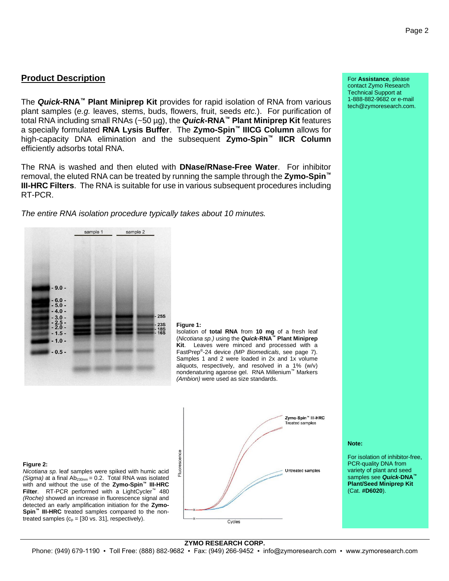sample 1

**Product Description**

 $.9.0.$ 

 $-5.0 -40-$ 

 $-3.0 \frac{2.5}{2.0}$  -

 $1.5 .1.0.$  $.05.$ 

The *Quick***-RNA™ Plant Miniprep Kit** provides for rapid isolation of RNA from various plant samples (*e.g.* leaves, stems, buds, flowers, fruit, seeds *etc.*). For purification of total RNA including small RNAs (~50 µg), the *Quick***-RNA™ Plant Miniprep Kit** features a specially formulated **RNA Lysis Buffer**. The **Zymo-Spin™ IIICG Column** allows for high-capacity DNA elimination and the subsequent **Zymo-Spin™ IICR Column** efficiently adsorbs total RNA.

The RNA is washed and then eluted with **DNase/RNase-Free Water**. For inhibitor removal, the eluted RNA can be treated by running the sample through the **Zymo-Spin™ III-HRC Filters**. The RNA is suitable for use in various subsequent procedures including RT-PCR.

*The entire RNA isolation procedure typically takes about 10 minutes.*

sample 2



#### **Figure 1:**

Isolation of **total RNA** from **10 mg** of a fresh leaf (*Nicotiana sp.)* using the *Quick***-RNA™ Plant Miniprep Kit**.Leaves were minced and processed with a FastPrep® -24 device *(MP Biomedicals*, see page 7). Samples 1 and 2 were loaded in 2x and 1x volume aliquots, respectively, and resolved in a 1% (w/v) nondenaturing agarose gel. RNA Millenium™ Markers *(Ambion)* were used as size standards.

#### **Figure 2:**

*Nicotiana sp.* leaf samples were spiked with humic acid *(Sigma)* at a final  $Ab_{230nm} = 0.2$ . Total RNA was isolated with and without the use of the **Zymo-Spin™ III-HRC Filter**. RT-PCR performed with a LightCycler™ 480 *(Roche)* showed an increase in fluorescence signal and detected an early amplification initiation for the **Zymo-Spin™ III-HRC** treated samples compared to the nontreated samples  $(c_p = [30 \text{ vs. } 31]$ , respectively).



For **Assistance**, please contact Zymo Research Technical Support at 1-888-882-9682 or e-mail tech@zymoresearch.com.

#### **Note:**

For isolation of inhibitor-free, PCR-quality DNA from variety of plant and seed samples see *Quick***-DNA™ Plant/Seed Miniprep Kit** (Cat. **#D6020**).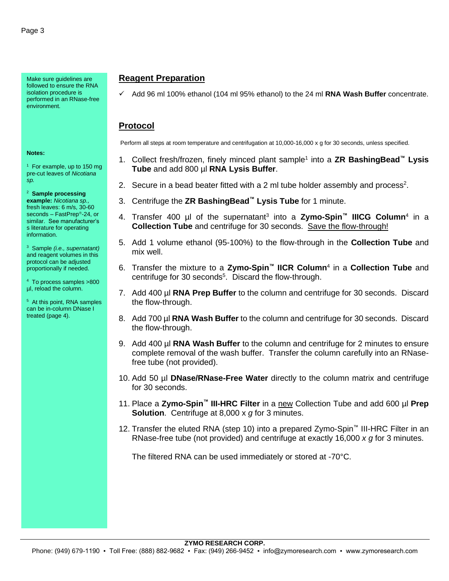Make sure guidelines are followed to ensure the RNA isolation procedure is performed in an RNase-free environment.

#### **Notes:**

<sup>1</sup> For example, up to 150 mg pre-cut leaves of *Nicotiana sp.*

2 **Sample processing example:** *Nicotiana sp.,* fresh leaves: 6 m/s, 30-60 seconds - FastPrep<sup>®</sup>-24, or similar. See manufacturer's s literature for operating information.

3 Sample *(i.e., supernatant)* and reagent volumes in this protocol can be adjusted proportionally if needed.

4 To process samples >800 µl, reload the column.

5 At this point, RNA samples can be in-column DNase I treated (page 4).

## **Reagent Preparation**

✓ Add 96 ml 100% ethanol (104 ml 95% ethanol) to the 24 ml **RNA Wash Buffer** concentrate.

### **Protocol**

Perform all steps at room temperature and centrifugation at 10,000-16,000 x g for 30 seconds, unless specified.

- 1. Collect fresh/frozen, finely minced plant sample<sup>1</sup> into a **ZR BashingBead™ Lysis Tube** and add 800 µl **RNA Lysis Buffer**.
- 2. Secure in a bead beater fitted with a 2 ml tube holder assembly and process<sup>2</sup>.
- 3. Centrifuge the **ZR BashingBead™ Lysis Tube** for 1 minute.
- 4. Transfer 400 µl of the supernatant<sup>3</sup> into a **Zymo-Spin™ IIICG Column**<sup>4</sup> in a **Collection Tube** and centrifuge for 30 seconds. Save the flow-through!
- 5. Add 1 volume ethanol (95-100%) to the flow-through in the **Collection Tube** and mix well.
- 6. Transfer the mixture to a **Zymo-Spin™ IICR Column**<sup>4</sup> in a **Collection Tube** and centrifuge for 30 seconds<sup>5</sup>. Discard the flow-through.
- 7. Add 400 µl **RNA Prep Buffer** to the column and centrifuge for 30 seconds. Discard the flow-through.
- 8. Add 700 µl **RNA Wash Buffer** to the column and centrifuge for 30 seconds. Discard the flow-through.
- 9. Add 400 µl **RNA Wash Buffer** to the column and centrifuge for 2 minutes to ensure complete removal of the wash buffer. Transfer the column carefully into an RNasefree tube (not provided).
- 10. Add 50 µl **DNase/RNase-Free Water** directly to the column matrix and centrifuge for 30 seconds.
- 11. Place a **Zymo-Spin™ III-HRC Filter** in a new Collection Tube and add 600 µl **Prep Solution**. Centrifuge at 8,000 x *g* for 3 minutes.
- 12. Transfer the eluted RNA (step 10) into a prepared Zymo-Spin™ III-HRC Filter in an RNase-free tube (not provided) and centrifuge at exactly 16,000 *x g* for 3 minutes.

The filtered RNA can be used immediately or stored at -70°C.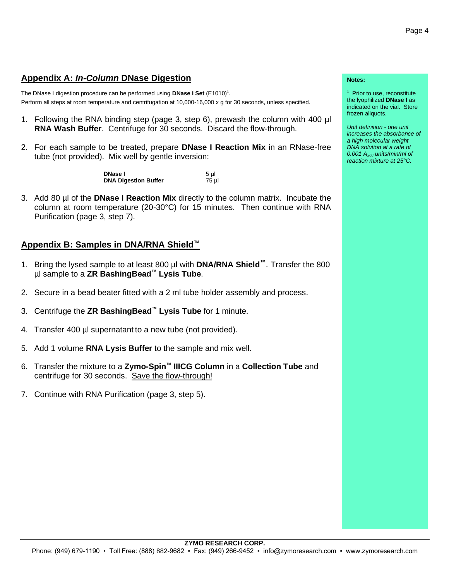## **Appendix A:** *In-Column* **DNase Digestion**

The DNase I digestion procedure can be performed using **DNase I Set** (E1010)<sup>1</sup>. Perform all steps at room temperature and centrifugation at 10,000-16,000 x g for 30 seconds, unless specified.

- 1. Following the RNA binding step (page 3, step 6), prewash the column with 400 µl **RNA Wash Buffer**. Centrifuge for 30 seconds. Discard the flow-through.
- 2. For each sample to be treated, prepare **DNase I Reaction Mix** in an RNase-free tube (not provided). Mix well by gentle inversion:

**DNase I** 5 µl **DNase I** 5 pl **DNA Digestion Buffer** 

3. Add 80 µl of the **DNase I Reaction Mix** directly to the column matrix. Incubate the column at room temperature (20-30°C) for 15 minutes. Then continue with RNA Purification (page 3, step 7).

## **Appendix B: Samples in DNA/RNA Shield™**

- 1. Bring the lysed sample to at least 800 µl with **DNA/RNA Shield™**. Transfer the 800 µl sample to a **ZR BashingBead™ Lysis Tube**.
- 2. Secure in a bead beater fitted with a 2 ml tube holder assembly and process.
- 3. Centrifuge the **ZR BashingBead™ Lysis Tube** for 1 minute.
- 4. Transfer 400 µl supernatant to a new tube (not provided).
- 5. Add 1 volume **RNA Lysis Buffer** to the sample and mix well.
- 6. Transfer the mixture to a **Zymo-Spin™ IIICG Column** in a **Collection Tube** and centrifuge for 30 seconds. Save the flow-through!
- 7. Continue with RNA Purification (page 3, step 5).

#### **Notes:**

<sup>1</sup> Prior to use, reconstitute the lyophilized **DNase I** as indicated on the vial. Store frozen aliquots.

*Unit definition - one unit increases the absorbance of a high molecular weight DNA solution at a rate of 0.001 A<sup>260</sup> units/min/ml of reaction mixture at 25°C.*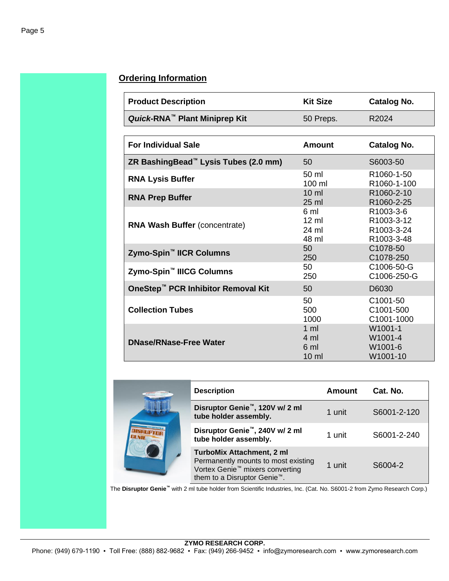# **Ordering Information**

| <b>Product Description</b>                | <b>Kit Size</b> | Catalog No.       |
|-------------------------------------------|-----------------|-------------------|
| Quick-RNA <sup>™</sup> Plant Miniprep Kit | 50 Preps.       | R <sub>2024</sub> |

| <b>For Individual Sale</b>                       | <b>Amount</b>                                               | Catalog No.                                         |
|--------------------------------------------------|-------------------------------------------------------------|-----------------------------------------------------|
| ZR BashingBead <sup>™</sup> Lysis Tubes (2.0 mm) | 50                                                          | S6003-50                                            |
| <b>RNA Lysis Buffer</b>                          | 50 ml<br>100 ml                                             | R <sub>1060</sub> -1-50<br>R1060-1-100              |
| <b>RNA Prep Buffer</b>                           | $10 \mathrm{m}$<br>$25 \text{ ml}$                          | R1060-2-10<br>R <sub>1060</sub> -2-25               |
| <b>RNA Wash Buffer (concentrate)</b>             | 6 ml<br>$12 \text{ ml}$<br>24 ml<br>48 ml                   | R1003-3-6<br>R1003-3-12<br>R1003-3-24<br>R1003-3-48 |
| Zymo-Spin <sup>™</sup> IICR Columns              | 50<br>250                                                   | C1078-50<br>C1078-250                               |
| Zymo-Spin <sup>™</sup> IIICG Columns             | 50<br>250                                                   | C1006-50-G<br>C1006-250-G                           |
| OneStep <sup>™</sup> PCR Inhibitor Removal Kit   | 50                                                          | D6030                                               |
| <b>Collection Tubes</b>                          | 50<br>500<br>1000                                           | C <sub>1001</sub> -50<br>C1001-500<br>C1001-1000    |
| <b>DNase/RNase-Free Water</b>                    | $1 \text{ ml}$<br>$4 \text{ ml}$<br>6 ml<br>$10 \mathrm{m}$ | W1001-1<br>W1001-4<br>W1001-6<br>W1001-10           |

|  | <b>Description</b>                                                                                                                                                 | Amount | Cat. No.    |
|--|--------------------------------------------------------------------------------------------------------------------------------------------------------------------|--------|-------------|
|  | Disruptor Genie <sup>™</sup> , 120V w/ 2 ml<br>tube holder assembly.                                                                                               | 1 unit | S6001-2-120 |
|  | Disruptor Genie <sup>™</sup> , 240V w/ 2 ml<br>tube holder assembly.                                                                                               | 1 unit | S6001-2-240 |
|  | <b>TurboMix Attachment, 2 ml</b><br>Permanently mounts to most existing<br>Vortex Genie <sup>™</sup> mixers converting<br>them to a Disruptor Genie <sup>™</sup> . | 1 unit | S6004-2     |

The **Disruptor Genie™** with 2 ml tube holder from Scientific Industries, Inc. (Cat. No. S6001-2 from Zymo Research Corp.)